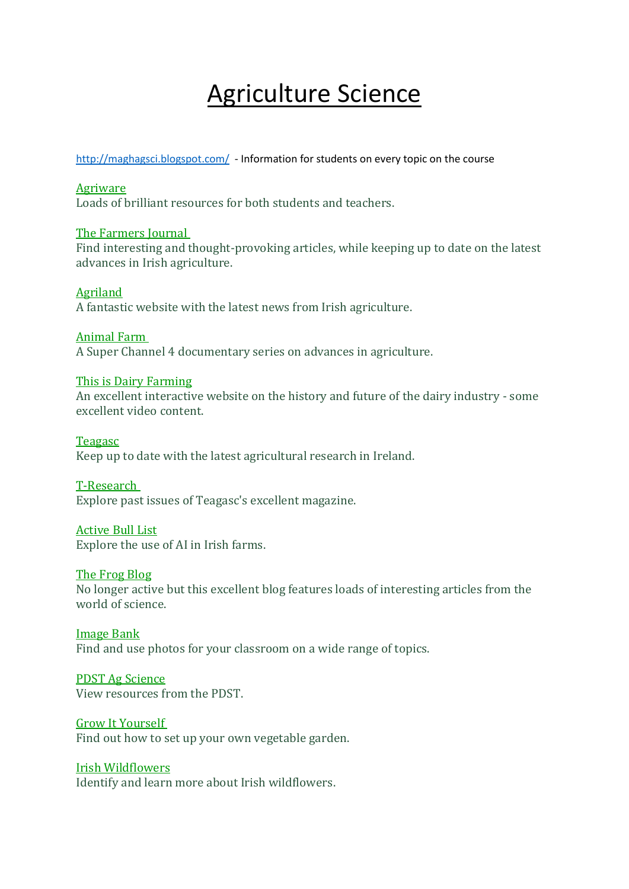# Agriculture Science

<http://maghagsci.blogspot.com/>- Information for students on every topic on the course

# [Agriware](http://agriaware.ie/)

Loads of brilliant resources for both students and teachers.

# The [Farmers](http://farmersjournal.ie/) Journal

Find interesting and thought-provoking articles, while keeping up to date on the latest advances in Irish agriculture.

# [Agriland](http://agriland.ie/)

A fantastic website with the latest news from Irish agriculture.

# [Animal](http://www.channel4.com/programmes/animal-farm/episode-guide) Farm

A Super Channel 4 documentary series on advances in agriculture.

# This is Dairy [Farming](http://www.thisisdairyfarming.com/)

An excellent interactive website on the history and future of the dairy industry - some excellent video content.

#### [Teagasc](http://teagasc.ie/)

Keep up to date with the latest agricultural research in Ireland.

# [T-Research](http://www.teagasc.ie/publications/tresearch/)

Explore past issues of Teagasc's excellent magazine.

#### [Active](http://www.icbf.com/?page_id=206) Bull List

Explore the use of AI in Irish farms.

#### The [Frog](https://www.iasta.ie/members-area/links/frogblog.ie) Blog

No longer active but this excellent blog features loads of interesting articles from the world of science.

#### [Image](http://www.imagebank.ie/) Bank

Find and use photos for your classroom on a wide range of topics.

# PDST Ag [Science](http://www.pdst.ie/sc/ag)

View resources from the PDST.

# Grow It [Yourself](http://www.giyinternational.org/)

Find out how to set up your own vegetable garden.

# Irish [Wildflowers](http://www.irishwildflowers.ie/)

Identify and learn more about Irish wildflowers.